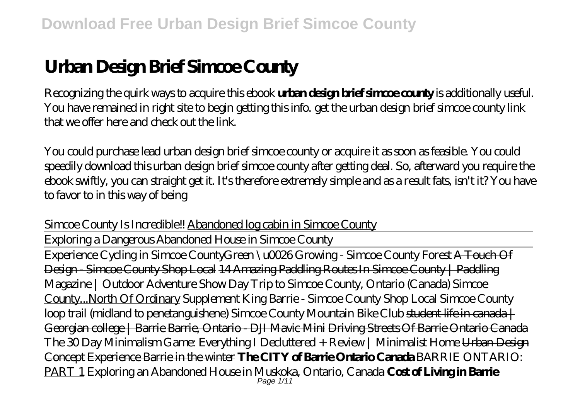# **Urban Design Brief Simcoe County**

Recognizing the quirk ways to acquire this ebook **urban design brief simcoe county** is additionally useful. You have remained in right site to begin getting this info. get the urban design brief simcoe county link that we offer here and check out the link.

You could purchase lead urban design brief simcoe county or acquire it as soon as feasible. You could speedily download this urban design brief simcoe county after getting deal. So, afterward you require the ebook swiftly, you can straight get it. It's therefore extremely simple and as a result fats, isn't it? You have to favor to in this way of being

*Simcoe County Is Incredible!!* Abandoned log cabin in Simcoe County

Exploring a Dangerous Abandoned House in Simcoe County

Experience Cycling in Simcoe County*Green \u0026 Growing - Simcoe County Forest* A Touch Of Design - Simcoe County Shop Local 14 Amazing Paddling Routes In Simcoe County | Paddling Magazine | Outdoor Adventure Show *Day Trip to Simcoe County, Ontario (Canada)* Simcoe County...North Of Ordinary Supplement King Barrie - Simcoe County Shop Local Simcoe County loop trail (midland to penetanguishene) *Simcoe County Mountain Bike Club* student life in canada | Georgian college | Barrie Barrie, Ontario - DJI Mavic Mini Driving Streets Of Barrie Ontario Canada The 30 Day Minimalism Game: Everything I Decluttered + Review | Minimalist Home Urban Design Concept Experience Barrie in the winter **The CITY of Barrie Ontario Canada** BARRIE ONTARIO: PART 1 *Exploring an Abandoned House in Muskoka, Ontario, Canada* **Cost of Living in Barrie** Page 1/11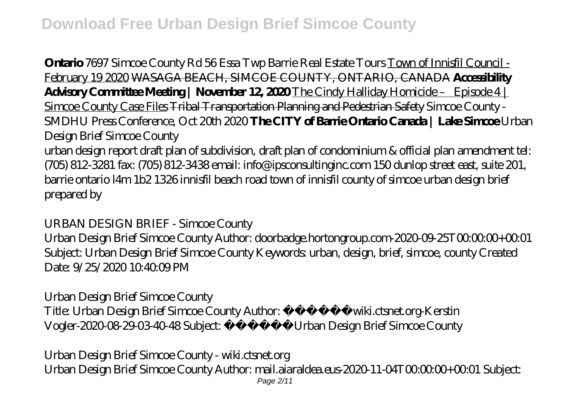**Ontario** *7697 Simcoe County Rd 56 Essa Twp Barrie Real Estate Tours* Town of Innisfil Council - February 19 2020 WASAGA BEACH, SIMCOE COUNTY, ONTARIO, CANADA **Accessibility Advisory Committee Meeting | November 12, 2020** The Cindy Halliday Homicide – Episode 4 | Simcoe County Case Files Tribal Transportation Planning and Pedestrian Safety *Simcoe County - SMDHU Press Conference, Oct 20th 2020* **The CITY of Barrie Ontario Canada | Lake Simcoe** *Urban Design Brief Simcoe County*

urban design report draft plan of subdivision, draft plan of condominium & official plan amendment tel: (705) 812-3281 fax: (705) 812-3438 email: info@ipsconsultinginc.com 150 dunlop street east, suite 201, barrie ontario l4m 1b2 1326 innisfil beach road town of innisfil county of simcoe urban design brief prepared by

## *URBAN DESIGN BRIEF - Simcoe County*

Urban Design Brief Simcoe County Author: doorbadge.hortongroup.com-2020-09-25T00:00:00+00:01 Subject: Urban Design Brief Simcoe County Keywords: urban, design, brief, simcoe, county Created Date: 9/25/2020 10:40:09 PM

#### *Urban Design Brief Simcoe County*

Title: Urban Design Brief Simcoe County Author:  $\frac{1}{2}$   $\frac{1}{2}$   $\frac{1}{2}$  wiki.ctsnet.org-Kerstin Vogler-2020-08-29-03-40-48 Subject:  $\frac{1}{2}$   $\frac{1}{2}$   $\frac{1}{2}$   $\frac{1}{2}$  Urban Design Brief Simcoe County

*Urban Design Brief Simcoe County - wiki.ctsnet.org* Urban Design Brief Simcoe County Author: mail.aiaraldea.eus-2020-11-04T00:00:00+00:01 Subject: Page 2/11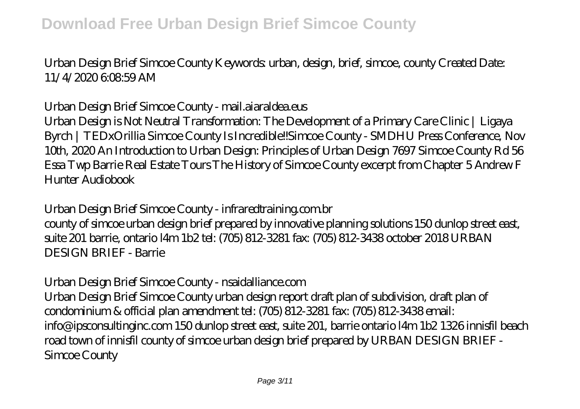Urban Design Brief Simcoe County Keywords: urban, design, brief, simcoe, county Created Date: 11/4/2020 6:08:59 AM

#### *Urban Design Brief Simcoe County - mail.aiaraldea.eus*

Urban Design is Not Neutral Transformation: The Development of a Primary Care Clinic | Ligaya Byrch | TEDxOrillia Simcoe County Is Incredible!!Simcoe County - SMDHU Press Conference, Nov 10th, 2020 An Introduction to Urban Design: Principles of Urban Design 7697 Simcoe County Rd 56 Essa Twp Barrie Real Estate Tours The History of Simcoe County excerpt from Chapter 5 Andrew F Hunter Audiobook

#### *Urban Design Brief Simcoe County - infraredtraining.com.br*

county of simcoe urban design brief prepared by innovative planning solutions 150 dunlop street east, suite 201 barrie, ontario l4m 1b2 tel: (705) 812-3281 fax: (705) 812-3438 october 2018 URBAN DESIGN BRIEF - Barrie

## *Urban Design Brief Simcoe County - nsaidalliance.com*

Urban Design Brief Simcoe County urban design report draft plan of subdivision, draft plan of condominium & official plan amendment tel: (705) 812-3281 fax: (705) 812-3438 email: info@ipsconsultinginc.com 150 dunlop street east, suite 201, barrie ontario l4m 1b2 1326 innisfil beach road town of innisfil county of simcoe urban design brief prepared by URBAN DESIGN BRIEF - Simcoe County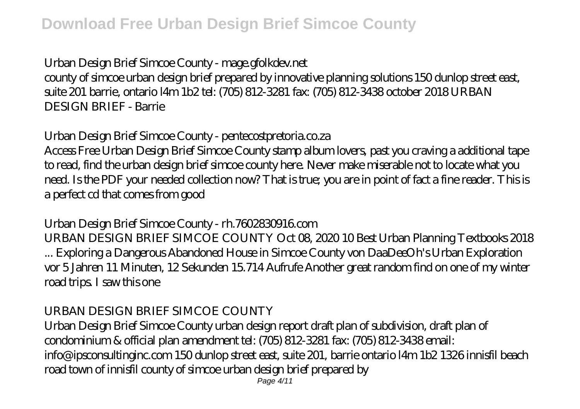# *Urban Design Brief Simcoe County - mage.gfolkdev.net*

county of simcoe urban design brief prepared by innovative planning solutions 150 dunlop street east, suite 201 barrie, ontario l4m 1b2 tel: (705) 812-3281 fax: (705) 812-3438 october 2018 URBAN DESIGN BRIEF - Barrie

# *Urban Design Brief Simcoe County - pentecostpretoria.co.za*

Access Free Urban Design Brief Simcoe County stamp album lovers, past you craving a additional tape to read, find the urban design brief simcoe county here. Never make miserable not to locate what you need. Is the PDF your needed collection now? That is true; you are in point of fact a fine reader. This is a perfect cd that comes from good

# *Urban Design Brief Simcoe County - rh.7602830916.com*

URBAN DESIGN BRIEF SIMCOE COUNTY Oct 08, 2020 10 Best Urban Planning Textbooks 2018 ... Exploring a Dangerous Abandoned House in Simcoe County von DaaDeeOh's Urban Exploration vor 5 Jahren 11 Minuten, 12 Sekunden 15.714 Aufrufe Another great random find on one of my winter road trips. I saw this one

## *URBAN DESIGN BRIEF SIMCOE COUNTY*

Urban Design Brief Simcoe County urban design report draft plan of subdivision, draft plan of condominium & official plan amendment tel: (705) 812-3281 fax: (705) 812-3438 email: info@ipsconsultinginc.com 150 dunlop street east, suite 201, barrie ontario l4m 1b2 1326 innisfil beach road town of innisfil county of simcoe urban design brief prepared by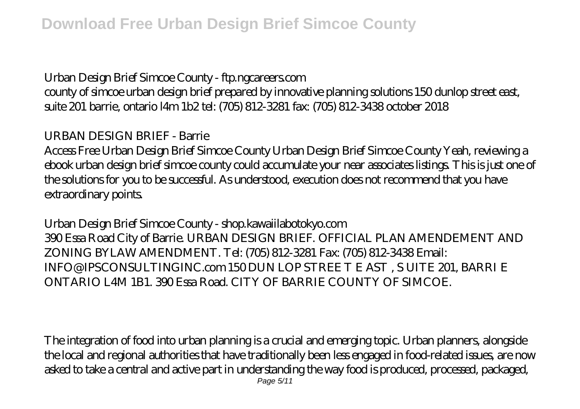# *Urban Design Brief Simcoe County - ftp.ngcareers.com*

county of simcoe urban design brief prepared by innovative planning solutions 150 dunlop street east, suite 201 barrie, ontario l4m 1b2 tel: (705) 812-3281 fax: (705) 812-3438 october 2018

## *URBAN DESIGN BRIEF - Barrie*

Access Free Urban Design Brief Simcoe County Urban Design Brief Simcoe County Yeah, reviewing a ebook urban design brief simcoe county could accumulate your near associates listings. This is just one of the solutions for you to be successful. As understood, execution does not recommend that you have extraordinary points.

#### *Urban Design Brief Simcoe County - shop.kawaiilabotokyo.com*

390 Essa Road City of Barrie. URBAN DESIGN BRIEF. OFFICIAL PLAN AMENDEMENT AND ZONING BYLAW AMENDMENT. Tel: (705) 812-3281 Fax: (705) 812-3438 Email: INFO@IPSCONSULTINGINC.com 150 DUN LOP STREE T E AST , S UITE 201, BARRI E ONTARIO L4M 1B1. 390 Essa Road. CITY OF BARRIE COUNTY OF SIMCOE.

The integration of food into urban planning is a crucial and emerging topic. Urban planners, alongside the local and regional authorities that have traditionally been less engaged in food-related issues, are now asked to take a central and active part in understanding the way food is produced, processed, packaged,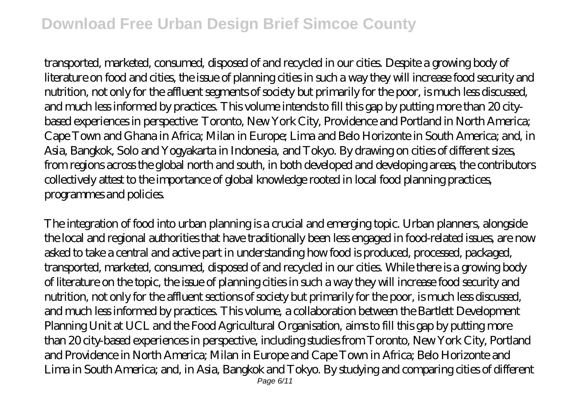# **Download Free Urban Design Brief Simcoe County**

transported, marketed, consumed, disposed of and recycled in our cities. Despite a growing body of literature on food and cities, the issue of planning cities in such a way they will increase food security and nutrition, not only for the affluent segments of society but primarily for the poor, is much less discussed, and much less informed by practices. This volume intends to fill this gap by putting more than 20 citybased experiences in perspective: Toronto, New York City, Providence and Portland in North America; Cape Town and Ghana in Africa; Milan in Europe; Lima and Belo Horizonte in South America; and, in Asia, Bangkok, Solo and Yogyakarta in Indonesia, and Tokyo. By drawing on cities of different sizes, from regions across the global north and south, in both developed and developing areas, the contributors collectively attest to the importance of global knowledge rooted in local food planning practices, programmes and policies.

The integration of food into urban planning is a crucial and emerging topic. Urban planners, alongside the local and regional authorities that have traditionally been less engaged in food-related issues, are now asked to take a central and active part in understanding how food is produced, processed, packaged, transported, marketed, consumed, disposed of and recycled in our cities. While there is a growing body of literature on the topic, the issue of planning cities in such a way they will increase food security and nutrition, not only for the affluent sections of society but primarily for the poor, is much less discussed, and much less informed by practices. This volume, a collaboration between the Bartlett Development Planning Unit at UCL and the Food Agricultural Organisation, aims to fill this gap by putting more than 20 city-based experiences in perspective, including studies from Toronto, New York City, Portland and Providence in North America; Milan in Europe and Cape Town in Africa; Belo Horizonte and Lima in South America; and, in Asia, Bangkok and Tokyo. By studying and comparing cities of different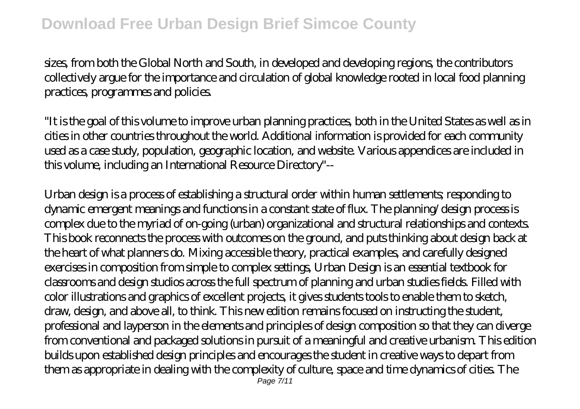sizes, from both the Global North and South, in developed and developing regions, the contributors collectively argue for the importance and circulation of global knowledge rooted in local food planning practices, programmes and policies.

"It is the goal of this volume to improve urban planning practices, both in the United States as well as in cities in other countries throughout the world. Additional information is provided for each community used as a case study, population, geographic location, and website. Various appendices are included in this volume, including an International Resource Directory"--

Urban design is a process of establishing a structural order within human settlements; responding to dynamic emergent meanings and functions in a constant state of flux. The planning/design process is complex due to the myriad of on-going (urban) organizational and structural relationships and contexts. This book reconnects the process with outcomes on the ground, and puts thinking about design back at the heart of what planners do. Mixing accessible theory, practical examples, and carefully designed exercises in composition from simple to complex settings, Urban Design is an essential textbook for classrooms and design studios across the full spectrum of planning and urban studies fields. Filled with color illustrations and graphics of excellent projects, it gives students tools to enable them to sketch, draw, design, and above all, to think. This new edition remains focused on instructing the student, professional and layperson in the elements and principles of design composition so that they can diverge from conventional and packaged solutions in pursuit of a meaningful and creative urbanism. This edition builds upon established design principles and encourages the student in creative ways to depart from them as appropriate in dealing with the complexity of culture, space and time dynamics of cities. The Page 7/11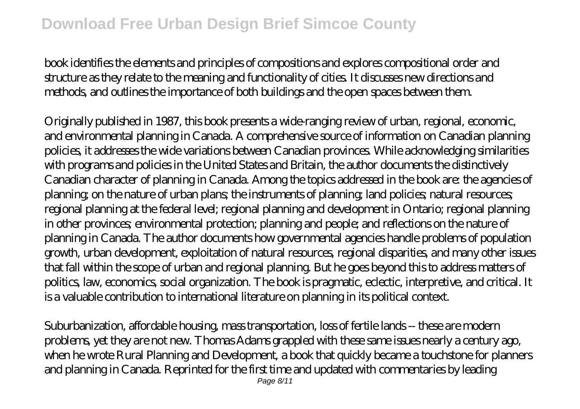book identifies the elements and principles of compositions and explores compositional order and structure as they relate to the meaning and functionality of cities. It discusses new directions and methods, and outlines the importance of both buildings and the open spaces between them.

Originally published in 1987, this book presents a wide-ranging review of urban, regional, economic, and environmental planning in Canada. A comprehensive source of information on Canadian planning policies, it addresses the wide variations between Canadian provinces. While acknowledging similarities with programs and policies in the United States and Britain, the author documents the distinctively Canadian character of planning in Canada. Among the topics addressed in the book are: the agencies of planning; on the nature of urban plans; the instruments of planning; land policies; natural resources; regional planning at the federal level; regional planning and development in Ontario; regional planning in other provinces; environmental protection; planning and people; and reflections on the nature of planning in Canada. The author documents how governmental agencies handle problems of population growth, urban development, exploitation of natural resources, regional disparities, and many other issues that fall within the scope of urban and regional planning. But he goes beyond this to address matters of politics, law, economics, social organization. The book is pragmatic, eclectic, interpretive, and critical. It is a valuable contribution to international literature on planning in its political context.

Suburbanization, affordable housing, mass transportation, loss of fertile lands -- these are modern problems, yet they are not new. Thomas Adams grappled with these same issues nearly a century ago, when he wrote Rural Planning and Development, a book that quickly became a touchstone for planners and planning in Canada. Reprinted for the first time and updated with commentaries by leading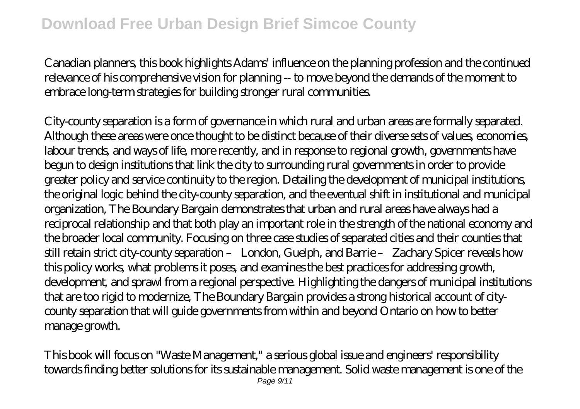Canadian planners, this book highlights Adams' influence on the planning profession and the continued relevance of his comprehensive vision for planning -- to move beyond the demands of the moment to embrace long-term strategies for building stronger rural communities.

City-county separation is a form of governance in which rural and urban areas are formally separated. Although these areas were once thought to be distinct because of their diverse sets of values, economies, labour trends, and ways of life, more recently, and in response to regional growth, governments have begun to design institutions that link the city to surrounding rural governments in order to provide greater policy and service continuity to the region. Detailing the development of municipal institutions, the original logic behind the city-county separation, and the eventual shift in institutional and municipal organization, The Boundary Bargain demonstrates that urban and rural areas have always had a reciprocal relationship and that both play an important role in the strength of the national economy and the broader local community. Focusing on three case studies of separated cities and their counties that still retain strict city-county separation – London, Guelph, and Barrie – Zachary Spicer reveals how this policy works, what problems it poses, and examines the best practices for addressing growth, development, and sprawl from a regional perspective. Highlighting the dangers of municipal institutions that are too rigid to modernize, The Boundary Bargain provides a strong historical account of citycounty separation that will guide governments from within and beyond Ontario on how to better manage growth.

This book will focus on "Waste Management," a serious global issue and engineers' responsibility towards finding better solutions for its sustainable management. Solid waste management is one of the Page 9/11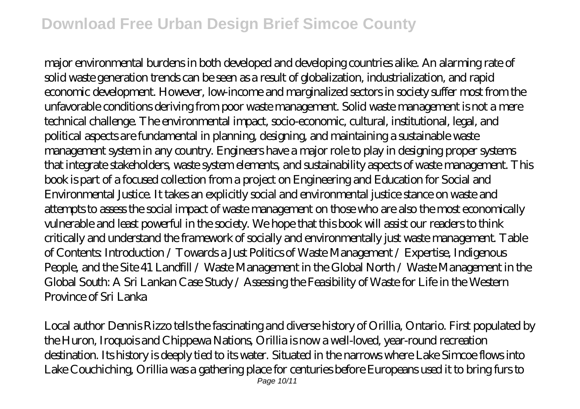# **Download Free Urban Design Brief Simcoe County**

major environmental burdens in both developed and developing countries alike. An alarming rate of solid waste generation trends can be seen as a result of globalization, industrialization, and rapid economic development. However, low-income and marginalized sectors in society suffer most from the unfavorable conditions deriving from poor waste management. Solid waste management is not a mere technical challenge. The environmental impact, socio-economic, cultural, institutional, legal, and political aspects are fundamental in planning, designing, and maintaining a sustainable waste management system in any country. Engineers have a major role to play in designing proper systems that integrate stakeholders, waste system elements, and sustainability aspects of waste management. This book is part of a focused collection from a project on Engineering and Education for Social and Environmental Justice. It takes an explicitly social and environmental justice stance on waste and attempts to assess the social impact of waste management on those who are also the most economically vulnerable and least powerful in the society. We hope that this book will assist our readers to think critically and understand the framework of socially and environmentally just waste management. Table of Contents: Introduction / Towards a Just Politics of Waste Management / Expertise, Indigenous People, and the Site 41 Landfill / Waste Management in the Global North / Waste Management in the Global South: A Sri Lankan Case Study / Assessing the Feasibility of Waste for Life in the Western Province of Sri Lanka

Local author Dennis Rizzo tells the fascinating and diverse history of Orillia, Ontario. First populated by the Huron, Iroquois and Chippewa Nations, Orillia is now a well-loved, year-round recreation destination. Its history is deeply tied to its water. Situated in the narrows where Lake Simcoe flows into Lake Couchiching, Orillia was a gathering place for centuries before Europeans used it to bring furs to